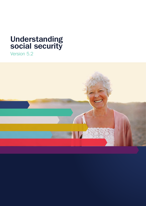# **Understanding social security**

Version 5.2

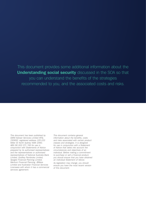This document provides some additional information about the **Understanding social security** discussed in the SOA so that you can understand the benefits of the strategies recommended to you, and the associated costs and risks.

*This document has been published by GWM Adviser Services Limited AFSL 230692, registered address 105-153 Miller St North Sydney NSW 2060,*  ABN 96 002 071 749 for use in conjunction with Statements of Advice *prepared by its authorised representatives and the representatives or authorised*  representatives of National Australia Bank Limited, Godfrey Pembroke Limited, Apogee Financial Planning Limited, Meritum Financial Planning, JBWere *Limited and Australian Financial Services Licensees with whom it has a commercial services agreement.*

*This document contains general*  information about the benefits, costs and risks associated with certain product *classes and strategies. It is designed*  for use in conjunction with a Statement of Advice that takes into account the circumstances and objectives of an individual. Before making a commitment to purchase or sell a financial product, *you should ensure that you have obtained*  an individual Statement of Advice.

*As legislation may change, you should ensure you have the most recent version*  of this document.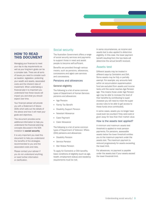# **HOW TO READ THIS DOCUMENT**

Managing your finances to meet your day to day requirements as well as your long-term goals can be a complex task. There are all sorts of issues you need to consider such as taxation, legislation, protecting your wealth and assets, associated costs and the inherent risks of investment. When undertaking a financial plan it is important you understand how these issues will impact you and what you should expect over time.

Your financial adviser will provide you with a Statement of Advice (SOA) which sets out the details of the advice and how it will meet your goals and objectives.

This document provides some additional information to help you understand the financial planning concepts discussed in the SOA inrelation to **social security**.

It is very important you read this document to help you understand the benefits of the strategies recommended to you and the associated costs and risks.

Please contact your adviser if you do not understand anything, or need further information or clarification.

# Social security

The Australian Government offers a range of social security services and payments to support those in need and assist people to become self-sufficient.

Benefits are provided through various means, such as pensions, allowances, concessions and aged care services and concessions.

## Pensions and allowances

### General eligibility

The following is a list of some common types of Department of Human Services pensions and allowances:

- Age Pension
- Family Tax Benefit
- Disability Support Pension
- Newstart Allowance
- Carer Payment
- Carer Allowance

The following is a list of some common types of Department of Veterans' Affairs (DVA) pensions and allowances:

- Disability Pension
- Service Pension
- War Widow Pension

To apply for Centrelink or DVA benefits, basic conditions of eligibility (such as age, health, employment status) and residency requirements must be met.

In some circumstances, an income and assets test is also applied to determine eligibility. In this case, the lower payment benefit resulting from the two tests will determine the actual benefit received.

# Assets test

Different assets may be treated in different ways by Centrelink and DVA. Some assets may be fully or partially exempt. For example, any amounts held within an accumulation superannuation fund are excluded from assets and income tests until the owner reaches Age Pension age. This means those under Age Pension age may be able to increase the level of their benefits by contributing to super (however you will need to meet the super access rules to be able to get access to these funds once contributed).

In some cases, assets you no longer have could even be counted if they were sold or given away for less than their market value.

## How is the assets test applied?

A minimum and maximum assets test threshold is applied to most pension payments. For pensions, assessable assets below the lower threshold entitles you to the maximum payment under the assets test. The maximum payment is reduced progressively for assets exceeding the lower limit.

For allowances, no payment is payable under the assets test if your assets exceed the lower threshold limit.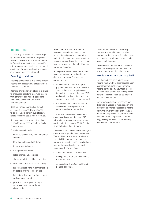## Income test

Income may be treated in different ways by Centrelink and DVA depending on its source. Financial investments are deemed by Centrelink and DVA to earn a specified rate of income, whereas income from real estate, employment, and certain income streams are assessed differently.

## Deeming provisions

Deeming provisions are in place to simplify income test assessments of returns from financial investments.

Deeming provisions were also put in place to encourage people to maximise income from other sources without penalising them by reducing their Centrelink or DVA entitlements.

Under current deeming rules, almost all financial investments are deemed to be receiving a certain level of return, regardless of the actual return received.

Deeming rates are reviewed from time to time to reflect rises and falls in market interest rates.

Financial assets include:

- bank, building society and credit union accounts
- term deposits and debentures
- friendly society bonds
- managed investments
- listed shares and securities
- shares in unlisted public companies
- certain income streams (see below)
- superannuation fund investments held by people over Age Pension age
- loans, including those to family trusts and companies, and
- gifts, if you have given money or other assets of greater than the allowable limit.

Since 1 January 2015, the income assessed by social security from an account based pension is determined under the deeming rules. As a result, the 'income' for social security purposes may be more or less than the actual income payments received.

Some people will not have their account based pensions assessed under the deeming provisions. This includes anyone who was:

- in receipt of an income support payment, such as Newstart, Disability Support Pension or Age Pension immediately prior to 1 January 2015 and continuously received an income support payment since that day, and;
- has been in continuous receipt of an account based pension that commenced prior to that day.

In this case, the account based pension commenced prior to 1 January 2015 will retain the income test assessment applied prior to 1 January 2015. That is, 'grandfathering rules' will apply.

There are circumstances under which you could lose the grandfathering treatment. This would occur in a situation where you lose eligibility to your income support payment for a period, or if a grandfathered pension is ceased and a new pension is commenced. This includes:

- a switch in products or providers
- adding funds to an existing account based pension, or
- consolidating a range of super and pension accounts.

It is important before you make any changes to a grandfathered pension, you seek advice from you financial adviser to understand any impact on your social security entitlements.

To understand the treatment of account based pensions prior to 1 January 2015, please contact your financial adviser.

#### How is the income test applied?

The deemed income is added to any income you have from other sources such as income from employment or rental income from property. Your total income is then used to work out how much pension, benefit or allowance can be paid to you under the income test.

A minimum and maximum income test threshold is applied to most pension and allowance payments. Assessable income below the lower threshold entitles you to the maximum payment under the income test. The maximum payment is reduced progressively for every dollar exceeding the lower limit for pensions.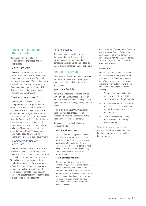# Concession cards and other benefits

Some common types of social security concessional cards and other benefits include:

## Health Care Card

The Health Care Card is issued to all allowance recipients and a low income health care card is available for people who have low incomes. This card provides access to cheaper medicines under the Pharmaceutical Benefits Scheme (PBS). Holders of this card may also receive discounts on public transport.

## Pensioner Concession Card

The Pensioner Concession Card is issued to all pensioners or part pensioners and some other social security recipients who receive at least the minimum rate of payment per fortnight. In addition to the benefits provided by the Health Care Card, the Pensioner Concession Card may allow access to other discounts such as reductions on motor vehicle registration and drivers' licences, council rates and several other state based discounts. The actual discounts available will depend on your local or state government.

## Commonwealth Seniors Health Card

The Commonwealth Seniors Health Card provides access to cheaper medicines under the PBS and other discounts such as free ambulance transport in some states. To qualify for this card you must have reached Age pension or Service pension age and must not be entitled to or have chosen not to claim an entitlement to social security benefits (ie age pension). There is no assets test limit to get this card but there is an income test limit.

# Rent Assistance

Rent Assistance is provided to those that pay rent or similar payments to private landlords for accommodation. Rent assistance is paid as an addition to a pension, allowance, or Family Tax Benefit.

# Aged care services

The Australian Government aims to ensure affordable, accessible and quality aged care is available to all older Australians when required.

## Aged care facilities

Where it is no longer possible to stay at home due to ageing, illness or disability, the Australian Government funds places in aged care facilities offering quality care and services.

To be eligible for Government subsidised aged care facilities or services, an assessment must be undertaken by the Aged Care Assessment Team (ACAT).

Some common types of aged care services include:

#### • **residential aged care**

Services provided in aged care facilities will differ depending on the individual person's needs. Some facilities provide assistance with meals, laundry and personal care. Other facilities will provide a higher level of care including nursing care, meals, laundry, cleaning and personal care.

#### • **extra services facilities**

Some residential aged care facilities provide a higher level of accommodation and care services than the standard facilities. Examples of extra services are higher standard of food and higher quality of accommodation, likened to hotel type services. The range of extra services offered in an extra service facility varies between providers.

An extra services fee is payable if entering an extra service facility. The amount must be specified on the contract a person signs before taking up residence. There are no government set limits on extra services fees.

#### • **home care**

Whenever possible, home care assists people to remain at home despite the effects of ageing. There are a number of programs available to assist older Australians who would qualify for home care. There are a range of services including:

- Personal care such as helping with day to day living activities (eg showering or bathing, mobility)
- Support services such as washing and ironing, house cleaning and transport for shopping or doctor appointments
- Clinical care such as nursing or other health services (eg physiotherapy).

These services aim to meet basic needs of older Australians to maintain their independence at home and in the community.